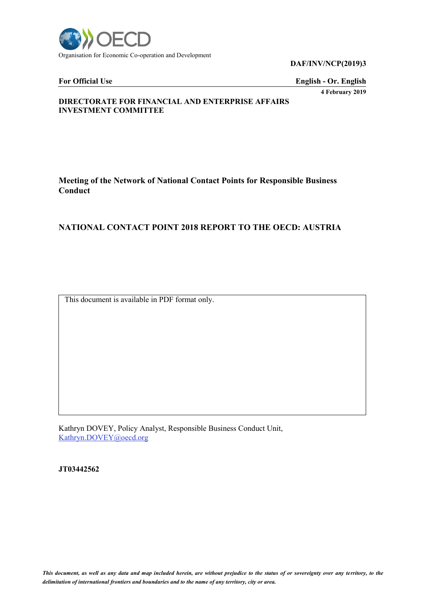

**DAF/INV/NCP(2019)3**

### **For Official Use English - Or. English**

**4 February 2019**

## **DIRECTORATE FOR FINANCIAL AND ENTERPRISE AFFAIRS INVESTMENT COMMITTEE**

**Meeting of the Network of National Contact Points for Responsible Business Conduct**

# **NATIONAL CONTACT POINT 2018 REPORT TO THE OECD: AUSTRIA**

This document is available in PDF format only.

Kathryn DOVEY, Policy Analyst, Responsible Business Conduct Unit, [Kathryn.DOVEY@oecd.org](mailto:Kathryn.DOVEY@oecd.org)

**JT03442562**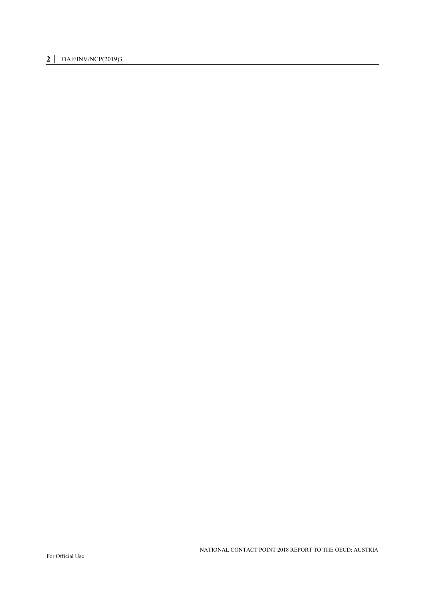## **2 │** DAF/INV/NCP(2019)3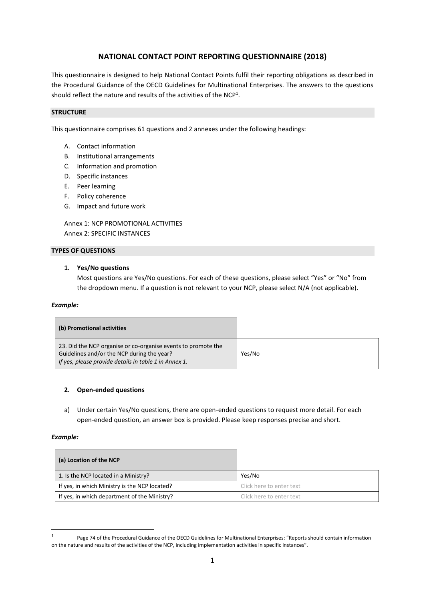## **NATIONAL CONTACT POINT REPORTING QUESTIONNAIRE (2018)**

This questionnaire is designed to help National Contact Points fulfil their reporting obligations as described in the Procedural Guidance of the OECD Guidelines for Multinational Enterprises. The answers to the questions should reflect the nature and results of the activities of the NCP<sup>1</sup>.

#### **STRUCTURE**

This questionnaire comprises 61 questions and 2 annexes under the following headings:

- A. Contact information
- B. Institutional arrangements
- C. Information and promotion
- D. Specific instances
- E. Peer learning
- F. Policy coherence
- G. Impact and future work

Annex 1: NCP PROMOTIONAL ACTIVITIES Annex 2: SPECIFIC INSTANCES

#### **TYPES OF QUESTIONS**

#### **1. Yes/No questions**

Most questions are Yes/No questions. For each of these questions, please select "Yes" or "No" from the dropdown menu. If a question is not relevant to your NCP, please select N/A (not applicable).

#### *Example:*

| (b) Promotional activities                                                                                                                                           |        |
|----------------------------------------------------------------------------------------------------------------------------------------------------------------------|--------|
| 23. Did the NCP organise or co-organise events to promote the<br>Guidelines and/or the NCP during the year?<br>If yes, please provide details in table 1 in Annex 1. | Yes/No |

#### **2. Open-ended questions**

a) Under certain Yes/No questions, there are open-ended questions to request more detail. For each open-ended question, an answer box is provided. Please keep responses precise and short.

#### *Example:*

**.** 

| (a) Location of the NCP                       |                          |
|-----------------------------------------------|--------------------------|
| 1. Is the NCP located in a Ministry?          | Yes/No                   |
| If yes, in which Ministry is the NCP located? | Click here to enter text |
| If yes, in which department of the Ministry?  | Click here to enter text |

<sup>1</sup> Page 74 of the Procedural Guidance of the OECD Guidelines for Multinational Enterprises: "Reports should contain information on the nature and results of the activities of the NCP, including implementation activities in specific instances".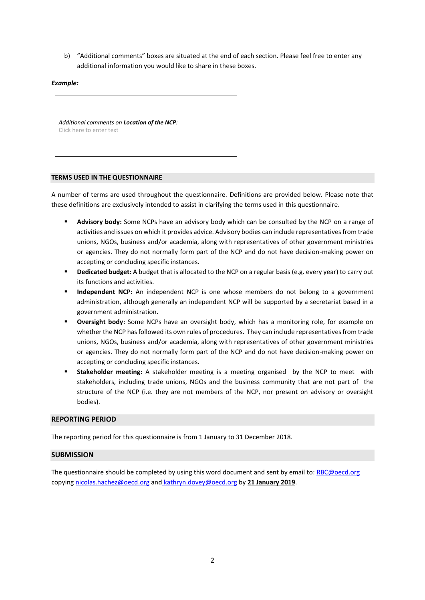b) "Additional comments" boxes are situated at the end of each section. Please feel free to enter any additional information you would like to share in these boxes.

*Example:*

*Additional comments on Location of the NCP:* Click here to enter text

#### **TERMS USED IN THE QUESTIONNAIRE**

A number of terms are used throughout the questionnaire. Definitions are provided below. Please note that these definitions are exclusively intended to assist in clarifying the terms used in this questionnaire.

- **Advisory body:** Some NCPs have an advisory body which can be consulted by the NCP on a range of activities and issues on which it provides advice. Advisory bodies can include representatives from trade unions, NGOs, business and/or academia, along with representatives of other government ministries or agencies. They do not normally form part of the NCP and do not have decision-making power on accepting or concluding specific instances.
- **Dedicated budget:** A budget that is allocated to the NCP on a regular basis (e.g. every year) to carry out its functions and activities.
- **Independent NCP:** An independent NCP is one whose members do not belong to a government administration, although generally an independent NCP will be supported by a secretariat based in a government administration.
- **Dversight body:** Some NCPs have an oversight body, which has a monitoring role, for example on whether the NCP has followed its own rules of procedures. They can include representatives from trade unions, NGOs, business and/or academia, along with representatives of other government ministries or agencies. They do not normally form part of the NCP and do not have decision-making power on accepting or concluding specific instances.
- **Stakeholder meeting:** A stakeholder meeting is a meeting organised by the NCP to meet with stakeholders, including trade unions, NGOs and the business community that are not part of the structure of the NCP (i.e. they are not members of the NCP, nor present on advisory or oversight bodies).

#### **REPORTING PERIOD**

The reporting period for this questionnaire is from 1 January to 31 December 2018.

#### **SUBMISSION**

The questionnaire should be completed by using this word document and sent by email to: RBC@oecd.org copying nicolas.hachez@oecd.org and [kathryn.dovey@oecd.org](mailto:kathryn.dovey@oecd.org) by **21 January 2019**.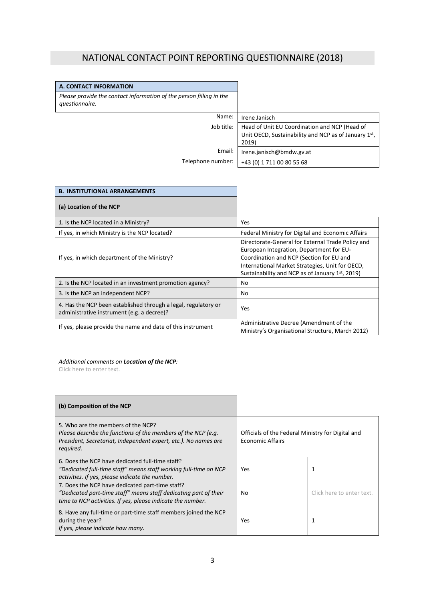# NATIONAL CONTACT POINT REPORTING QUESTIONNAIRE (2018)

 $\overline{\phantom{a}}$ 

| A. CONTACT INFORMATION                                                                |                                                                                                                |
|---------------------------------------------------------------------------------------|----------------------------------------------------------------------------------------------------------------|
| Please provide the contact information of the person filling in the<br>questionnaire. |                                                                                                                |
| Name:                                                                                 | Irene Janisch                                                                                                  |
| Job title:                                                                            | Head of Unit EU Coordination and NCP (Head of<br>Unit OECD, Sustainability and NCP as of January 1st,<br>2019) |
| Email:                                                                                | Irene.janisch@bmdw.gv.at                                                                                       |
| Telephone number:                                                                     | +43 (0) 1 711 00 80 55 68                                                                                      |

 $\overline{\phantom{a}}$ 

| <b>B. INSTITUTIONAL ARRANGEMENTS</b>                                                                                                                                                |                                                                                                                                                                                                                                                 |                           |
|-------------------------------------------------------------------------------------------------------------------------------------------------------------------------------------|-------------------------------------------------------------------------------------------------------------------------------------------------------------------------------------------------------------------------------------------------|---------------------------|
| (a) Location of the NCP                                                                                                                                                             |                                                                                                                                                                                                                                                 |                           |
| 1. Is the NCP located in a Ministry?                                                                                                                                                | Yes                                                                                                                                                                                                                                             |                           |
| If yes, in which Ministry is the NCP located?                                                                                                                                       | Federal Ministry for Digital and Economic Affairs                                                                                                                                                                                               |                           |
| If yes, in which department of the Ministry?                                                                                                                                        | Directorate-General for External Trade Policy and<br>European Integration, Department for EU-<br>Coordination and NCP (Section for EU and<br>International Market Strategies, Unit for OECD,<br>Sustainability and NCP as of January 1st, 2019) |                           |
| 2. Is the NCP located in an investment promotion agency?                                                                                                                            | No                                                                                                                                                                                                                                              |                           |
| 3. Is the NCP an independent NCP?                                                                                                                                                   | No                                                                                                                                                                                                                                              |                           |
| 4. Has the NCP been established through a legal, regulatory or<br>administrative instrument (e.g. a decree)?                                                                        | Yes                                                                                                                                                                                                                                             |                           |
| If yes, please provide the name and date of this instrument                                                                                                                         | Administrative Decree (Amendment of the<br>Ministry's Organisational Structure, March 2012)                                                                                                                                                     |                           |
| Additional comments on Location of the NCP:<br>Click here to enter text.                                                                                                            |                                                                                                                                                                                                                                                 |                           |
| (b) Composition of the NCP                                                                                                                                                          |                                                                                                                                                                                                                                                 |                           |
| 5. Who are the members of the NCP?<br>Please describe the functions of the members of the NCP (e.g.<br>President, Secretariat, Independent expert, etc.). No names are<br>required. | Officials of the Federal Ministry for Digital and<br><b>Economic Affairs</b>                                                                                                                                                                    |                           |
| 6. Does the NCP have dedicated full-time staff?<br>"Dedicated full-time staff" means staff working full-time on NCP<br>activities. If yes, please indicate the number.              | Yes                                                                                                                                                                                                                                             | 1                         |
| 7. Does the NCP have dedicated part-time staff?<br>"Dedicated part-time staff" means staff dedicating part of their<br>time to NCP activities. If yes, please indicate the number.  | No                                                                                                                                                                                                                                              | Click here to enter text. |
| 8. Have any full-time or part-time staff members joined the NCP<br>during the year?<br>If yes, please indicate how many.                                                            | Yes                                                                                                                                                                                                                                             | 1                         |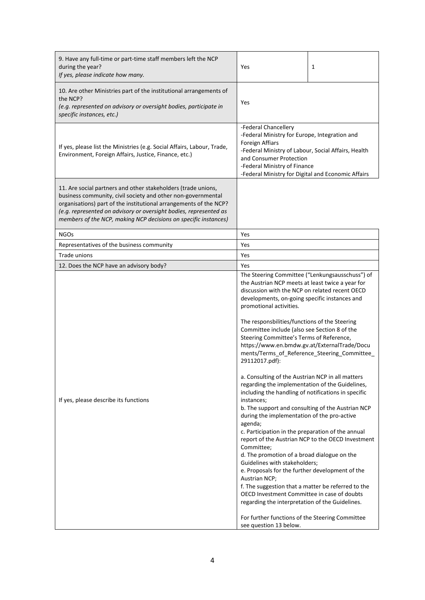| 9. Have any full-time or part-time staff members left the NCP<br>during the year?<br>If yes, please indicate how many.                                                                                                                                                                                                                     | Yes                                                                                                                                                                                                                                                                                                                                                                                                                                                                                                                                                                                                                                                                                                                                                                                                                                                                                                                                                                                                                                                                                                                                                                                                                                                                                                         | 1 |
|--------------------------------------------------------------------------------------------------------------------------------------------------------------------------------------------------------------------------------------------------------------------------------------------------------------------------------------------|-------------------------------------------------------------------------------------------------------------------------------------------------------------------------------------------------------------------------------------------------------------------------------------------------------------------------------------------------------------------------------------------------------------------------------------------------------------------------------------------------------------------------------------------------------------------------------------------------------------------------------------------------------------------------------------------------------------------------------------------------------------------------------------------------------------------------------------------------------------------------------------------------------------------------------------------------------------------------------------------------------------------------------------------------------------------------------------------------------------------------------------------------------------------------------------------------------------------------------------------------------------------------------------------------------------|---|
| 10. Are other Ministries part of the institutional arrangements of<br>the NCP?<br>(e.g. represented on advisory or oversight bodies, participate in<br>specific instances, etc.)                                                                                                                                                           | Yes                                                                                                                                                                                                                                                                                                                                                                                                                                                                                                                                                                                                                                                                                                                                                                                                                                                                                                                                                                                                                                                                                                                                                                                                                                                                                                         |   |
| If yes, please list the Ministries (e.g. Social Affairs, Labour, Trade,<br>Environment, Foreign Affairs, Justice, Finance, etc.)                                                                                                                                                                                                           | -Federal Chancellery<br>-Federal Ministry for Europe, Integration and<br>Foreign Affiars<br>-Federal Ministry of Labour, Social Affairs, Health<br>and Consumer Protection<br>-Federal Ministry of Finance<br>-Federal Ministry for Digital and Economic Affairs                                                                                                                                                                                                                                                                                                                                                                                                                                                                                                                                                                                                                                                                                                                                                                                                                                                                                                                                                                                                                                            |   |
| 11. Are social partners and other stakeholders (trade unions,<br>business community, civil society and other non-governmental<br>organisations) part of the institutional arrangements of the NCP?<br>(e.g. represented on advisory or oversight bodies, represented as<br>members of the NCP, making NCP decisions on specific instances) |                                                                                                                                                                                                                                                                                                                                                                                                                                                                                                                                                                                                                                                                                                                                                                                                                                                                                                                                                                                                                                                                                                                                                                                                                                                                                                             |   |
| <b>NGOs</b>                                                                                                                                                                                                                                                                                                                                | Yes                                                                                                                                                                                                                                                                                                                                                                                                                                                                                                                                                                                                                                                                                                                                                                                                                                                                                                                                                                                                                                                                                                                                                                                                                                                                                                         |   |
| Representatives of the business community                                                                                                                                                                                                                                                                                                  | Yes                                                                                                                                                                                                                                                                                                                                                                                                                                                                                                                                                                                                                                                                                                                                                                                                                                                                                                                                                                                                                                                                                                                                                                                                                                                                                                         |   |
| Trade unions                                                                                                                                                                                                                                                                                                                               | Yes                                                                                                                                                                                                                                                                                                                                                                                                                                                                                                                                                                                                                                                                                                                                                                                                                                                                                                                                                                                                                                                                                                                                                                                                                                                                                                         |   |
| 12. Does the NCP have an advisory body?                                                                                                                                                                                                                                                                                                    | Yes                                                                                                                                                                                                                                                                                                                                                                                                                                                                                                                                                                                                                                                                                                                                                                                                                                                                                                                                                                                                                                                                                                                                                                                                                                                                                                         |   |
| If yes, please describe its functions                                                                                                                                                                                                                                                                                                      | The Steering Committee ("Lenkungsausschuss") of<br>the Austrian NCP meets at least twice a year for<br>discussion with the NCP on related recent OECD<br>developments, on-going specific instances and<br>promotional activities.<br>The responsbilities/functions of the Steering<br>Committee include (also see Section 8 of the<br>Steering Committee's Terms of Reference,<br>https://www.en.bmdw.gv.at/ExternalTrade/Docu<br>ments/Terms of Reference Steering Committee<br>29112017.pdf):<br>a. Consulting of the Austrian NCP in all matters<br>regarding the implementation of the Guidelines,<br>including the handling of notifications in specific<br>instances;<br>b. The support and consulting of the Austrian NCP<br>during the implementation of the pro-active<br>agenda;<br>c. Participation in the preparation of the annual<br>report of the Austrian NCP to the OECD Investment<br>Committee;<br>d. The promotion of a broad dialogue on the<br>Guidelines with stakeholders;<br>e. Proposals for the further development of the<br>Austrian NCP;<br>f. The suggestion that a matter be referred to the<br>OECD Investment Committee in case of doubts<br>regarding the interpretation of the Guidelines.<br>For further functions of the Steering Committee<br>see question 13 below. |   |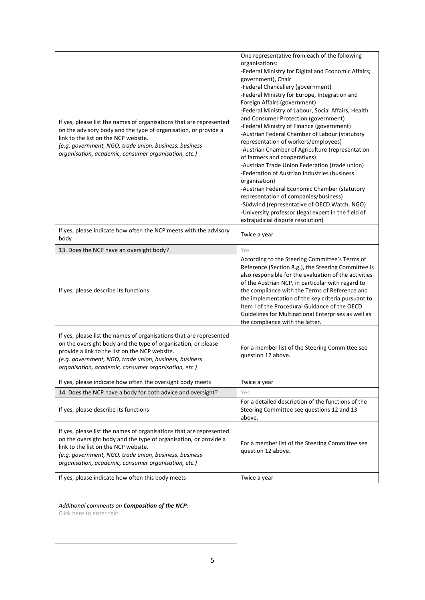| If yes, please list the names of organisations that are represented<br>on the advisory body and the type of organisation, or provide a<br>link to the list on the NCP website.<br>(e.g. government, NGO, trade union, business, business<br>organisation, academic, consumer organisation, etc.)         | One representative from each of the following<br>organisations:<br>-Federal Ministry for Digital and Economic Affairs;<br>government), Chair<br>-Federal Chancellery (government)<br>-Federal Ministry for Europe, Integration and<br>Foreign Affairs (government)<br>-Federal Ministry of Labour, Social Affairs, Health<br>and Consumer Protection (government)<br>-Federal Ministry of Finance (government)<br>-Austrian Federal Chamber of Labour (statutory<br>representation of workers/employees)<br>-Austrian Chamber of Agriculture (representation<br>of farmers and cooperatives)<br>-Austrian Trade Union Federation (trade union)<br>-Federation of Austrian Industries (business<br>organisation)<br>-Austrian Federal Economic Chamber (statutory<br>representation of companies/business)<br>-Südwind (representative of OECD Watch, NGO)<br>-University professor (legal expert in the field of<br>extrajudicial dispute resolution) |
|----------------------------------------------------------------------------------------------------------------------------------------------------------------------------------------------------------------------------------------------------------------------------------------------------------|-------------------------------------------------------------------------------------------------------------------------------------------------------------------------------------------------------------------------------------------------------------------------------------------------------------------------------------------------------------------------------------------------------------------------------------------------------------------------------------------------------------------------------------------------------------------------------------------------------------------------------------------------------------------------------------------------------------------------------------------------------------------------------------------------------------------------------------------------------------------------------------------------------------------------------------------------------|
| If yes, please indicate how often the NCP meets with the advisory<br>body                                                                                                                                                                                                                                | Twice a year                                                                                                                                                                                                                                                                                                                                                                                                                                                                                                                                                                                                                                                                                                                                                                                                                                                                                                                                          |
| 13. Does the NCP have an oversight body?                                                                                                                                                                                                                                                                 | Yes                                                                                                                                                                                                                                                                                                                                                                                                                                                                                                                                                                                                                                                                                                                                                                                                                                                                                                                                                   |
| If yes, please describe its functions                                                                                                                                                                                                                                                                    | According to the Steering Committee's Terms of<br>Reference (Section 8.g.), the Steering Committee is<br>also responsible for the evaluation of the activities<br>of the Austrian NCP, in particular with regard to<br>the compliance with the Terms of Reference and<br>the implementation of the key criteria pursuant to<br>Item I of the Procedural Guidance of the OECD<br>Guidelines for Multinational Enterprises as well as<br>the compliance with the latter.                                                                                                                                                                                                                                                                                                                                                                                                                                                                                |
| If yes, please list the names of organisations that are represented<br>on the oversight body and the type of organisation, or please<br>provide a link to the list on the NCP website.<br>(e.g. government, NGO, trade union, business, business<br>organisation, academic, consumer organisation, etc.) | For a member list of the Steering Committee see<br>question 12 above.                                                                                                                                                                                                                                                                                                                                                                                                                                                                                                                                                                                                                                                                                                                                                                                                                                                                                 |
| If yes, please indicate how often the oversight body meets                                                                                                                                                                                                                                               | Twice a year                                                                                                                                                                                                                                                                                                                                                                                                                                                                                                                                                                                                                                                                                                                                                                                                                                                                                                                                          |
| 14. Does the NCP have a body for both advice and oversight?                                                                                                                                                                                                                                              | Yes                                                                                                                                                                                                                                                                                                                                                                                                                                                                                                                                                                                                                                                                                                                                                                                                                                                                                                                                                   |
| If yes, please describe its functions                                                                                                                                                                                                                                                                    | For a detailed description of the functions of the<br>Steering Committee see questions 12 and 13<br>above.                                                                                                                                                                                                                                                                                                                                                                                                                                                                                                                                                                                                                                                                                                                                                                                                                                            |
| If yes, please list the names of organisations that are represented<br>on the oversight body and the type of organisation, or provide a<br>link to the list on the NCP website.<br>(e.g. government, NGO, trade union, business, business<br>organisation, academic, consumer organisation, etc.)        | For a member list of the Steering Committee see<br>question 12 above.                                                                                                                                                                                                                                                                                                                                                                                                                                                                                                                                                                                                                                                                                                                                                                                                                                                                                 |
| If yes, please indicate how often this body meets                                                                                                                                                                                                                                                        | Twice a year                                                                                                                                                                                                                                                                                                                                                                                                                                                                                                                                                                                                                                                                                                                                                                                                                                                                                                                                          |
| Additional comments on <b>Composition of the NCP</b> :<br>Click here to enter text.                                                                                                                                                                                                                      |                                                                                                                                                                                                                                                                                                                                                                                                                                                                                                                                                                                                                                                                                                                                                                                                                                                                                                                                                       |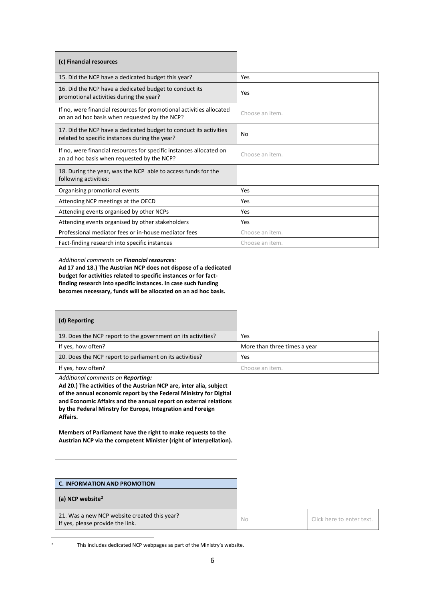| (c) Financial resources                                                                                                                                                                                                                                                                                                                                                                                                                                           |                              |
|-------------------------------------------------------------------------------------------------------------------------------------------------------------------------------------------------------------------------------------------------------------------------------------------------------------------------------------------------------------------------------------------------------------------------------------------------------------------|------------------------------|
| 15. Did the NCP have a dedicated budget this year?                                                                                                                                                                                                                                                                                                                                                                                                                | Yes                          |
| 16. Did the NCP have a dedicated budget to conduct its<br>promotional activities during the year?                                                                                                                                                                                                                                                                                                                                                                 | Yes                          |
| If no, were financial resources for promotional activities allocated<br>on an ad hoc basis when requested by the NCP?                                                                                                                                                                                                                                                                                                                                             | Choose an item.              |
| 17. Did the NCP have a dedicated budget to conduct its activities<br>related to specific instances during the year?                                                                                                                                                                                                                                                                                                                                               | No                           |
| If no, were financial resources for specific instances allocated on<br>an ad hoc basis when requested by the NCP?                                                                                                                                                                                                                                                                                                                                                 | Choose an item.              |
| 18. During the year, was the NCP able to access funds for the<br>following activities:                                                                                                                                                                                                                                                                                                                                                                            |                              |
| Organising promotional events                                                                                                                                                                                                                                                                                                                                                                                                                                     | Yes                          |
| Attending NCP meetings at the OECD                                                                                                                                                                                                                                                                                                                                                                                                                                | Yes                          |
| Attending events organised by other NCPs                                                                                                                                                                                                                                                                                                                                                                                                                          | Yes                          |
| Attending events organised by other stakeholders                                                                                                                                                                                                                                                                                                                                                                                                                  | Yes                          |
| Professional mediator fees or in-house mediator fees                                                                                                                                                                                                                                                                                                                                                                                                              | Choose an item.              |
| Fact-finding research into specific instances                                                                                                                                                                                                                                                                                                                                                                                                                     | Choose an item.              |
| Additional comments on <b>Financial resources</b> :<br>Ad 17 and 18.) The Austrian NCP does not dispose of a dedicated<br>budget for activities related to specific instances or for fact-<br>finding research into specific instances. In case such funding<br>becomes necessary, funds will be allocated on an ad hoc basis.<br>(d) Reporting                                                                                                                   |                              |
|                                                                                                                                                                                                                                                                                                                                                                                                                                                                   |                              |
| 19. Does the NCP report to the government on its activities?                                                                                                                                                                                                                                                                                                                                                                                                      | Yes                          |
| If yes, how often?                                                                                                                                                                                                                                                                                                                                                                                                                                                | More than three times a year |
| 20. Does the NCP report to parliament on its activities?                                                                                                                                                                                                                                                                                                                                                                                                          | Yes                          |
| If yes, how often?                                                                                                                                                                                                                                                                                                                                                                                                                                                | Choose an item.              |
| Additional comments on Reporting:<br>Ad 20.) The activities of the Austrian NCP are, inter alia, subject<br>of the annual economic report by the Federal Ministry for Digital<br>and Economic Affairs and the annual report on external relations<br>by the Federal Minstry for Europe, Integration and Foreign<br>Affairs.<br>Members of Parliament have the right to make requests to the<br>Austrian NCP via the competent Minister (right of interpellation). |                              |
| <b>C. INFORMATION AND PROMOTION</b>                                                                                                                                                                                                                                                                                                                                                                                                                               |                              |

| <b>L. INFORMATION AND PROMOTION</b>                                              |    |                           |
|----------------------------------------------------------------------------------|----|---------------------------|
| $\mid$ (a) NCP website <sup>2</sup>                                              |    |                           |
| 21. Was a new NCP website created this year?<br>If yes, please provide the link. | No | Click here to enter text. |

 $\overline{2}$ 

<sup>2</sup> This includes dedicated NCP webpages as part of the Ministry's website.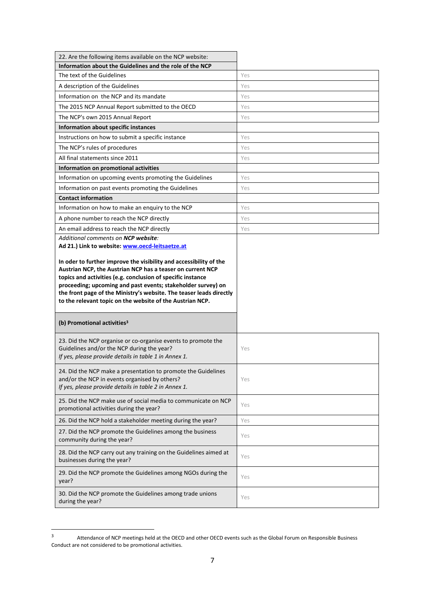| 22. Are the following items available on the NCP website:                                                                                                                                                                                                       |     |
|-----------------------------------------------------------------------------------------------------------------------------------------------------------------------------------------------------------------------------------------------------------------|-----|
| Information about the Guidelines and the role of the NCP                                                                                                                                                                                                        |     |
| The text of the Guidelines                                                                                                                                                                                                                                      | Yes |
| A description of the Guidelines                                                                                                                                                                                                                                 | Yes |
| Information on the NCP and its mandate                                                                                                                                                                                                                          | Yes |
| The 2015 NCP Annual Report submitted to the OECD                                                                                                                                                                                                                | Yes |
| The NCP's own 2015 Annual Report                                                                                                                                                                                                                                | Yes |
| Information about specific instances                                                                                                                                                                                                                            |     |
| Instructions on how to submit a specific instance                                                                                                                                                                                                               | Yes |
| The NCP's rules of procedures                                                                                                                                                                                                                                   | Yes |
| All final statements since 2011                                                                                                                                                                                                                                 | Yes |
| Information on promotional activities                                                                                                                                                                                                                           |     |
| Information on upcoming events promoting the Guidelines                                                                                                                                                                                                         | Yes |
| Information on past events promoting the Guidelines                                                                                                                                                                                                             | Yes |
| <b>Contact information</b>                                                                                                                                                                                                                                      |     |
| Information on how to make an enquiry to the NCP                                                                                                                                                                                                                | Yes |
| A phone number to reach the NCP directly                                                                                                                                                                                                                        | Yes |
| An email address to reach the NCP directly                                                                                                                                                                                                                      | Yes |
| Additional comments on <b>NCP website</b> :<br>Ad 21.) Link to website: www.oecd-leitsaetze.at                                                                                                                                                                  |     |
| Austrian NCP, the Austrian NCP has a teaser on current NCP                                                                                                                                                                                                      |     |
| topics and activities (e.g. conclusion of specific instance<br>proceeding; upcoming and past events; stakeholder survey) on<br>the front page of the Ministry's website. The teaser leads directly<br>to the relevant topic on the website of the Austrian NCP. |     |
| (b) Promotional activities <sup>3</sup>                                                                                                                                                                                                                         |     |
| 23. Did the NCP organise or co-organise events to promote the<br>Guidelines and/or the NCP during the year?<br>If yes, please provide details in table 1 in Annex 1.                                                                                            | Yes |
| 24. Did the NCP make a presentation to promote the Guidelines<br>and/or the NCP in events organised by others?<br>If yes, please provide details in table 2 in Annex 1.                                                                                         | Yes |
| 25. Did the NCP make use of social media to communicate on NCP<br>promotional activities during the year?                                                                                                                                                       | Yes |
| 26. Did the NCP hold a stakeholder meeting during the year?                                                                                                                                                                                                     | Yes |
| 27. Did the NCP promote the Guidelines among the business<br>community during the year?                                                                                                                                                                         | Yes |
| 28. Did the NCP carry out any training on the Guidelines aimed at<br>businesses during the year?                                                                                                                                                                | Yes |
| 29. Did the NCP promote the Guidelines among NGOs during the<br>year?                                                                                                                                                                                           | Yes |

 $\overline{\mathbf{3}}$ <sup>3</sup> Attendance of NCP meetings held at the OECD and other OECD events such as the Global Forum on Responsible Business Conduct are not considered to be promotional activities.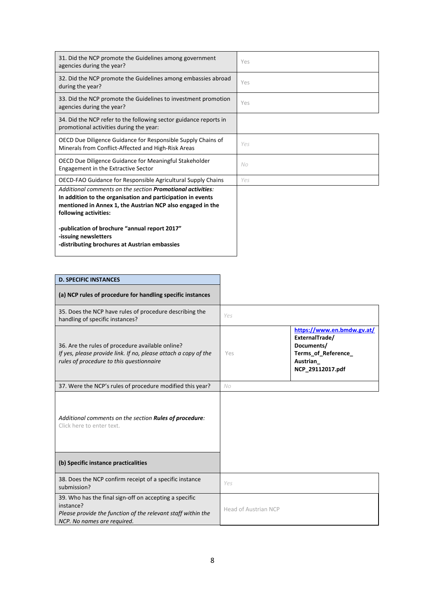| 31. Did the NCP promote the Guidelines among government<br>agencies during the year?                                                                                                                                                                                                                                                               | Yes |
|----------------------------------------------------------------------------------------------------------------------------------------------------------------------------------------------------------------------------------------------------------------------------------------------------------------------------------------------------|-----|
| 32. Did the NCP promote the Guidelines among embassies abroad<br>during the year?                                                                                                                                                                                                                                                                  | Yes |
| 33. Did the NCP promote the Guidelines to investment promotion<br>agencies during the year?                                                                                                                                                                                                                                                        | Yes |
| 34. Did the NCP refer to the following sector guidance reports in<br>promotional activities during the year:                                                                                                                                                                                                                                       |     |
| OECD Due Diligence Guidance for Responsible Supply Chains of<br>Minerals from Conflict-Affected and High-Risk Areas                                                                                                                                                                                                                                | Yes |
| OECD Due Diligence Guidance for Meaningful Stakeholder<br>Engagement in the Extractive Sector                                                                                                                                                                                                                                                      | No  |
| OECD-FAO Guidance for Responsible Agricultural Supply Chains                                                                                                                                                                                                                                                                                       | Yes |
| Additional comments on the section <b>Promotional activities</b> :<br>In addition to the organisation and participation in events<br>mentioned in Annex 1, the Austrian NCP also engaged in the<br>following activities:<br>-publication of brochure "annual report 2017"<br>-issuing newsletters<br>-distributing brochures at Austrian embassies |     |

| <b>D. SPECIFIC INSTANCES</b>                                                                                                                                       |                      |                                                                                                                         |
|--------------------------------------------------------------------------------------------------------------------------------------------------------------------|----------------------|-------------------------------------------------------------------------------------------------------------------------|
| (a) NCP rules of procedure for handling specific instances                                                                                                         |                      |                                                                                                                         |
| 35. Does the NCP have rules of procedure describing the<br>handling of specific instances?                                                                         | Yes                  |                                                                                                                         |
| 36. Are the rules of procedure available online?<br>If yes, please provide link. If no, please attach a copy of the<br>rules of procedure to this questionnaire    | Yes                  | https://www.en.bmdw.gv.at/<br>ExternalTrade/<br>Documents/<br><b>Terms of Reference</b><br>Austrian<br>NCP_29112017.pdf |
| 37. Were the NCP's rules of procedure modified this year?                                                                                                          | N <sub>O</sub>       |                                                                                                                         |
| Additional comments on the section Rules of procedure:<br>Click here to enter text.                                                                                |                      |                                                                                                                         |
| (b) Specific instance practicalities                                                                                                                               |                      |                                                                                                                         |
| 38. Does the NCP confirm receipt of a specific instance<br>submission?                                                                                             | Yes                  |                                                                                                                         |
| 39. Who has the final sign-off on accepting a specific<br>instance?<br>Please provide the function of the relevant staff within the<br>NCP. No names are required. | Head of Austrian NCP |                                                                                                                         |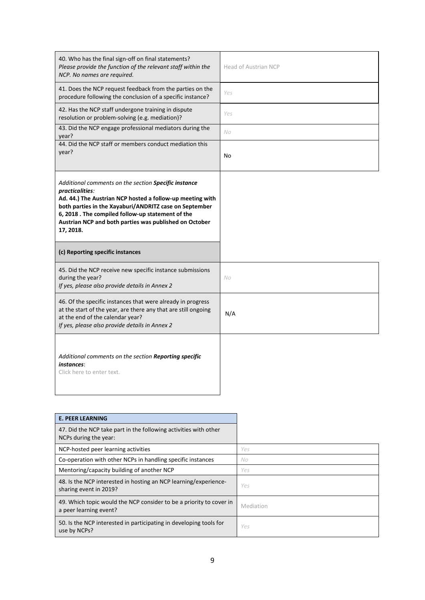| 40. Who has the final sign-off on final statements?<br>Please provide the function of the relevant staff within the<br>NCP. No names are required.                                                                                                                                                                         | <b>Head of Austrian NCP</b> |
|----------------------------------------------------------------------------------------------------------------------------------------------------------------------------------------------------------------------------------------------------------------------------------------------------------------------------|-----------------------------|
| 41. Does the NCP request feedback from the parties on the<br>procedure following the conclusion of a specific instance?                                                                                                                                                                                                    | Yes                         |
| 42. Has the NCP staff undergone training in dispute<br>resolution or problem-solving (e.g. mediation)?                                                                                                                                                                                                                     | Yes                         |
| 43. Did the NCP engage professional mediators during the<br>year?                                                                                                                                                                                                                                                          | No                          |
| 44. Did the NCP staff or members conduct mediation this<br>year?                                                                                                                                                                                                                                                           | No                          |
| Additional comments on the section Specific instance<br>practicalities:<br>Ad. 44.) The Austrian NCP hosted a follow-up meeting with<br>both parties in the Xayaburi/ANDRITZ case on September<br>6, 2018 . The compiled follow-up statement of the<br>Austrian NCP and both parties was published on October<br>17, 2018. |                             |
| (c) Reporting specific instances                                                                                                                                                                                                                                                                                           |                             |
| 45. Did the NCP receive new specific instance submissions<br>during the year?<br>If yes, please also provide details in Annex 2                                                                                                                                                                                            | No                          |
| 46. Of the specific instances that were already in progress<br>at the start of the year, are there any that are still ongoing<br>at the end of the calendar year?<br>If yes, please also provide details in Annex 2                                                                                                        | N/A                         |
| Additional comments on the section Reporting specific<br>instances:<br>Click here to enter text.                                                                                                                                                                                                                           |                             |

| <b>E. PEER LEARNING</b>                                                                       |           |
|-----------------------------------------------------------------------------------------------|-----------|
| 47. Did the NCP take part in the following activities with other<br>NCPs during the year:     |           |
| NCP-hosted peer learning activities                                                           | Yes       |
| Co-operation with other NCPs in handling specific instances                                   | No.       |
| Mentoring/capacity building of another NCP                                                    | Yes       |
| 48. Is the NCP interested in hosting an NCP learning/experience-<br>sharing event in 2019?    | Yes       |
| 49. Which topic would the NCP consider to be a priority to cover in<br>a peer learning event? | Mediation |
| 50. Is the NCP interested in participating in developing tools for<br>use by NCPs?            | Yes       |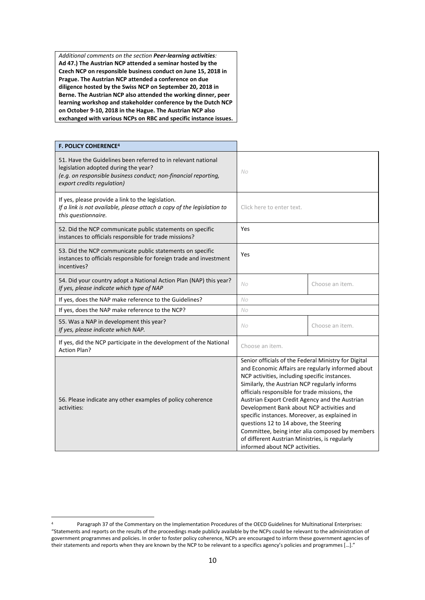*Additional comments on the section Peer-learning activities:* **Ad 47.) The Austrian NCP attended a seminar hosted by the Czech NCP on responsible business conduct on June 15, 2018 in Prague. The Austrian NCP attended a conference on due diligence hosted by the Swiss NCP on September 20, 2018 in Berne. The Austrian NCP also attended the working dinner, peer learning workshop and stakeholder conference by the Dutch NCP on October 9-10, 2018 in the Hague. The Austrian NCP also exchanged with various NCPs on RBC and specific instance issues.**

| <b>F. POLICY COHERENCE<sup>4</sup></b>                                                                                                                                                                 |                                                                                                                                                                                                                                                                                                                                                                                                                                                                                                                                                                                               |                 |  |
|--------------------------------------------------------------------------------------------------------------------------------------------------------------------------------------------------------|-----------------------------------------------------------------------------------------------------------------------------------------------------------------------------------------------------------------------------------------------------------------------------------------------------------------------------------------------------------------------------------------------------------------------------------------------------------------------------------------------------------------------------------------------------------------------------------------------|-----------------|--|
| 51. Have the Guidelines been referred to in relevant national<br>legislation adopted during the year?<br>(e.g. on responsible business conduct; non-financial reporting,<br>export credits regulation) | No                                                                                                                                                                                                                                                                                                                                                                                                                                                                                                                                                                                            |                 |  |
| If yes, please provide a link to the legislation.<br>If a link is not available, please attach a copy of the legislation to<br>this questionnaire.                                                     | Click here to enter text.                                                                                                                                                                                                                                                                                                                                                                                                                                                                                                                                                                     |                 |  |
| 52. Did the NCP communicate public statements on specific<br>instances to officials responsible for trade missions?                                                                                    | Yes                                                                                                                                                                                                                                                                                                                                                                                                                                                                                                                                                                                           |                 |  |
| 53. Did the NCP communicate public statements on specific<br>instances to officials responsible for foreign trade and investment<br>incentives?                                                        | Yes                                                                                                                                                                                                                                                                                                                                                                                                                                                                                                                                                                                           |                 |  |
| 54. Did your country adopt a National Action Plan (NAP) this year?<br>If yes, please indicate which type of NAP                                                                                        | No                                                                                                                                                                                                                                                                                                                                                                                                                                                                                                                                                                                            | Choose an item. |  |
| If yes, does the NAP make reference to the Guidelines?                                                                                                                                                 | No                                                                                                                                                                                                                                                                                                                                                                                                                                                                                                                                                                                            |                 |  |
| If yes, does the NAP make reference to the NCP?                                                                                                                                                        | No                                                                                                                                                                                                                                                                                                                                                                                                                                                                                                                                                                                            |                 |  |
| 55. Was a NAP in development this year?<br>If yes, please indicate which NAP.                                                                                                                          | No                                                                                                                                                                                                                                                                                                                                                                                                                                                                                                                                                                                            | Choose an item. |  |
| If yes, did the NCP participate in the development of the National<br><b>Action Plan?</b>                                                                                                              | Choose an item.                                                                                                                                                                                                                                                                                                                                                                                                                                                                                                                                                                               |                 |  |
| 56. Please indicate any other examples of policy coherence<br>activities:                                                                                                                              | Senior officials of the Federal Ministry for Digital<br>and Economic Affairs are regularly informed about<br>NCP activities, including specific instances.<br>Similarly, the Austrian NCP regularly informs<br>officials responsible for trade missions, the<br>Austrian Export Credit Agency and the Austrian<br>Development Bank about NCP activities and<br>specific instances. Moreover, as explained in<br>questions 12 to 14 above, the Steering<br>Committee, being inter alia composed by members<br>of different Austrian Ministries, is regularly<br>informed about NCP activities. |                 |  |

1

Paragraph 37 of the Commentary on the Implementation Procedures of the OECD Guidelines for Multinational Enterprises: "Statements and reports on the results of the proceedings made publicly available by the NCPs could be relevant to the administration of government programmes and policies. In order to foster policy coherence, NCPs are encouraged to inform these government agencies of their statements and reports when they are known by the NCP to be relevant to a specifics agency's policies and programmes […]."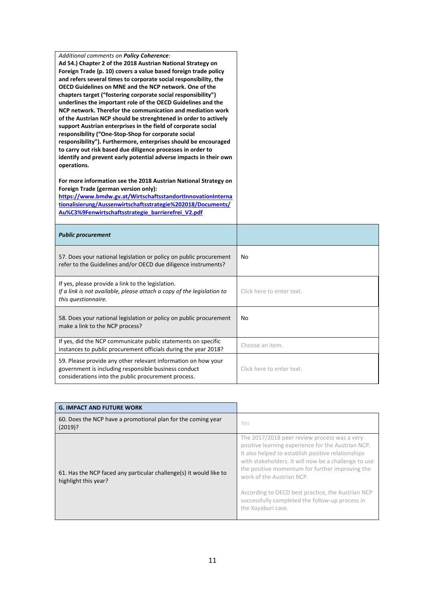| Additional comments on Policy Coherence:<br>Ad 54.) Chapter 2 of the 2018 Austrian National Strategy on<br>Foreign Trade (p. 10) covers a value based foreign trade policy<br>and refers several times to corporate social responsibility, the<br>OECD Guidelines on MNE and the NCP network. One of the<br>chapters target ("fostering corporate social responsibility")<br>underlines the important role of the OECD Guidelines and the<br>NCP network. Therefor the communication and mediation work<br>of the Austrian NCP should be strenghtened in order to actively<br>support Austrian enterprises in the field of corporate social<br>responsibility ("One-Stop-Shop for corporate social<br>responsibility"). Furthermore, enterprises should be encouraged<br>to carry out risk based due diligence processes in order to<br>identify and prevent early potential adverse impacts in their own<br>operations.<br>For more information see the 2018 Austrian National Strategy on<br>Foreign Trade (german version only):<br>https://www.bmdw.gv.at/WirtschaftsstandortInnovationInterna<br>tionalisierung/Aussenwirtschaftsstrategie%202018/Documents/<br>Au%C3%9Fenwirtschaftsstrategie barrierefrei V2.pdf |                           |
|-------------------------------------------------------------------------------------------------------------------------------------------------------------------------------------------------------------------------------------------------------------------------------------------------------------------------------------------------------------------------------------------------------------------------------------------------------------------------------------------------------------------------------------------------------------------------------------------------------------------------------------------------------------------------------------------------------------------------------------------------------------------------------------------------------------------------------------------------------------------------------------------------------------------------------------------------------------------------------------------------------------------------------------------------------------------------------------------------------------------------------------------------------------------------------------------------------------------------|---------------------------|
| <b>Public procurement</b>                                                                                                                                                                                                                                                                                                                                                                                                                                                                                                                                                                                                                                                                                                                                                                                                                                                                                                                                                                                                                                                                                                                                                                                               |                           |
|                                                                                                                                                                                                                                                                                                                                                                                                                                                                                                                                                                                                                                                                                                                                                                                                                                                                                                                                                                                                                                                                                                                                                                                                                         |                           |
| 57. Does your national legislation or policy on public procurement<br>refer to the Guidelines and/or OECD due diligence instruments?                                                                                                                                                                                                                                                                                                                                                                                                                                                                                                                                                                                                                                                                                                                                                                                                                                                                                                                                                                                                                                                                                    | No                        |
| If yes, please provide a link to the legislation.<br>If a link is not available, please attach a copy of the legislation to<br>this questionnaire.                                                                                                                                                                                                                                                                                                                                                                                                                                                                                                                                                                                                                                                                                                                                                                                                                                                                                                                                                                                                                                                                      | Click here to enter text. |
| 58. Does your national legislation or policy on public procurement<br>make a link to the NCP process?                                                                                                                                                                                                                                                                                                                                                                                                                                                                                                                                                                                                                                                                                                                                                                                                                                                                                                                                                                                                                                                                                                                   | No                        |
| If yes, did the NCP communicate public statements on specific<br>instances to public procurement officials during the year 2018?                                                                                                                                                                                                                                                                                                                                                                                                                                                                                                                                                                                                                                                                                                                                                                                                                                                                                                                                                                                                                                                                                        | Choose an item.           |

| <b>G. IMPACT AND FUTURE WORK</b>                                                           |                                                                                                                                                                                                                                                                                                                                                                                                                                |
|--------------------------------------------------------------------------------------------|--------------------------------------------------------------------------------------------------------------------------------------------------------------------------------------------------------------------------------------------------------------------------------------------------------------------------------------------------------------------------------------------------------------------------------|
| 60. Does the NCP have a promotional plan for the coming year<br>$(2019)$ ?                 | Yes                                                                                                                                                                                                                                                                                                                                                                                                                            |
| 61. Has the NCP faced any particular challenge(s) it would like to<br>highlight this year? | The 2017/2018 peer review process was a very<br>positive learning experience for the Austrian NCP.<br>It also helped to establish positive relationships<br>with stakeholders. It will now be a challenge to use<br>the positive momentum for further improving the<br>work of the Austrian NCP.<br>According to OECD best practice, the Austrian NCP<br>successfully completed the follow-up process in<br>the Xayaburi case. |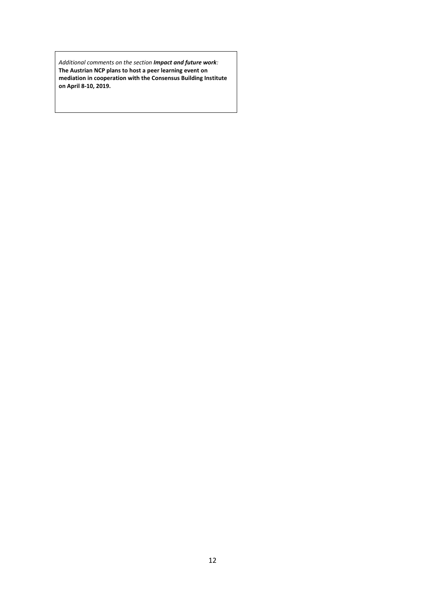*Additional comments on the section Impact and future work:* **The Austrian NCP plans to host a peer learning event on mediation in cooperation with the Consensus Building Institute on April 8-10, 2019.**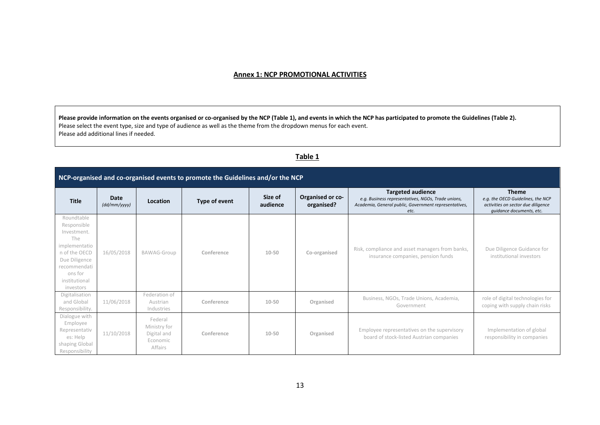#### **Annex 1: NCP PROMOTIONAL ACTIVITIES**

**Please provide information on the events organised or co-organised by the NCP (Table 1), and events in which the NCP has participated to promote the Guidelines (Table 2).**  Please select the event type, size and type of audience as well as the theme from the dropdown menus for each event. Please add additional lines if needed.

## **Table 1**

|                                                                                                                                                             | NCP-organised and co-organised events to promote the Guidelines and/or the NCP |                                                               |               |                     |                                |                                                                                                                                                 |                                                                                                                     |  |  |  |
|-------------------------------------------------------------------------------------------------------------------------------------------------------------|--------------------------------------------------------------------------------|---------------------------------------------------------------|---------------|---------------------|--------------------------------|-------------------------------------------------------------------------------------------------------------------------------------------------|---------------------------------------------------------------------------------------------------------------------|--|--|--|
| <b>Title</b>                                                                                                                                                | Date<br>(dd/mm/yyyy)                                                           | Location                                                      | Type of event | Size of<br>audience | Organised or co-<br>organised? | <b>Targeted audience</b><br>e.g. Business representatives, NGOs, Trade unions,<br>Academia, General public, Government representatives,<br>etc. | <b>Theme</b><br>e.g. the OECD Guidelines, the NCP<br>activities on sector due diligence<br>quidance documents, etc. |  |  |  |
| Roundtable<br>Responsible<br>Investment.<br>The<br>implementatio<br>n of the OECD<br>Due Diligence<br>recommendati<br>ons for<br>institutional<br>investors | 16/05/2018                                                                     | <b>BAWAG-Group</b>                                            | Conference    | $10 - 50$           | Co-organised                   | Risk, compliance and asset managers from banks,<br>insurance companies, pension funds                                                           | Due Diligence Guidance for<br>institutional investors                                                               |  |  |  |
| Digitalisation<br>and Global<br>Responsibility.                                                                                                             | 11/06/2018                                                                     | Federation of<br>Austrian<br>Industries                       | Conference    | $10 - 50$           | Organised                      | Business, NGOs, Trade Unions, Academia,<br>Government                                                                                           | role of digital technologies for<br>coping with supply chain risks                                                  |  |  |  |
| Dialogue with<br>Employee<br>Representativ<br>es: Help<br>shaping Global<br>Responsibility                                                                  | 11/10/2018                                                                     | Federal<br>Ministry for<br>Digital and<br>Economic<br>Affairs | Conference    | $10 - 50$           | Organised                      | Employee representatives on the supervisory<br>board of stock-listed Austrian companies                                                         | Implementation of global<br>responsibility in companies                                                             |  |  |  |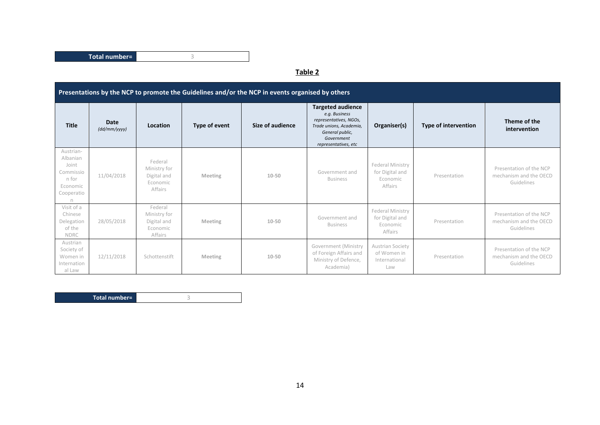| Total number= |
|---------------|
|               |

## **Table 2**

| Presentations by the NCP to promote the Guidelines and/or the NCP in events organised by others |                      |                                                               |               |                  |                                                                                                                                                         |                                                                   |                             |                                                                 |
|-------------------------------------------------------------------------------------------------|----------------------|---------------------------------------------------------------|---------------|------------------|---------------------------------------------------------------------------------------------------------------------------------------------------------|-------------------------------------------------------------------|-----------------------------|-----------------------------------------------------------------|
| <b>Title</b>                                                                                    | Date<br>(dd/mm/yyyy) | Location                                                      | Type of event | Size of audience | <b>Targeted audience</b><br>e.g. Business<br>representatives, NGOs,<br>Trade unions, Academia,<br>General public,<br>Government<br>representatives, etc | Organiser(s)                                                      | <b>Type of intervention</b> | Theme of the<br>intervention                                    |
| Austrian-<br>Albanian<br>Joint<br>Commissio<br>n for<br>Economic<br>Cooperatio<br>n             | 11/04/2018           | Federal<br>Ministry for<br>Digital and<br>Economic<br>Affairs | Meeting       | $10 - 50$        | Government and<br><b>Business</b>                                                                                                                       | <b>Federal Ministry</b><br>for Digital and<br>Economic<br>Affairs | Presentation                | Presentation of the NCP<br>mechanism and the OECD<br>Guidelines |
| Visit of a<br>Chinese<br>Delegation<br>of the<br><b>NDRC</b>                                    | 28/05/2018           | Federal<br>Ministry for<br>Digital and<br>Economic<br>Affairs | Meeting       | $10 - 50$        | Government and<br><b>Business</b>                                                                                                                       | Federal Ministry<br>for Digital and<br>Economic<br>Affairs        | Presentation                | Presentation of the NCP<br>mechanism and the OECD<br>Guidelines |
| Austrian<br>Society of<br>Women in<br>Internation<br>al Law                                     | 12/11/2018           | Schottenstift                                                 | Meeting       | $10 - 50$        | Government (Ministry<br>of Foreign Affairs and<br>Ministry of Defence,<br>Academia)                                                                     | Austrian Society<br>of Women in<br>International<br>Law           | Presentation                | Presentation of the NCP<br>mechanism and the OECD<br>Guidelines |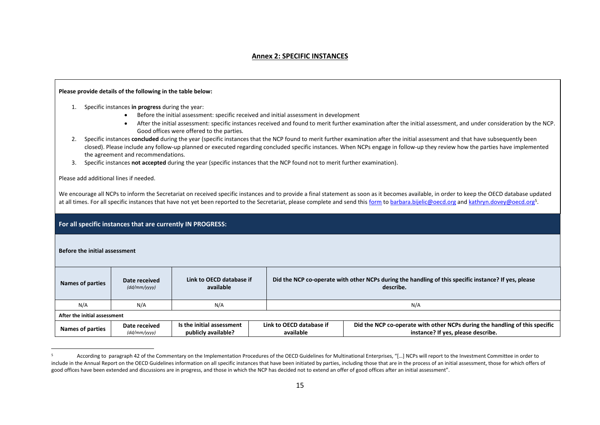#### **Annex 2: SPECIFIC INSTANCES**

#### **Please provide details of the following in the table below:** 1. Specific instances **in progress** during the year: Before the initial assessment: specific received and initial assessment in development After the initial assessment: specific instances received and found to merit further examination after the initial assessment, and under consideration by the NCP. Good offices were offered to the parties. 2. Specific instances concluded during the year (specific instances that the NCP found to merit further examination after the initial assessment and that have subsequently been closed). Please include any follow-up planned or executed regarding concluded specific instances. When NCPs engage in follow-up they review how the parties have implemented the agreement and recommendations. 3. Specific instances **not accepted** during the year (specific instances that the NCP found not to merit further examination). Please add additional lines if needed. We encourage all NCPs to inform the Secretariat on received specific instances and to provide a final statement as soon as it becomes available, in order to keep the OECD database updated at all times. For all specific instances that have not yet been reported to the Secretariat, please complete and send this <u>form</u> to <u>barbara.bijelic@oecd.org</u> and <u>kathryn.dovey@oecd.org</u>5. **For all specific instances that are currently IN PROGRESS: Before the initial assessment Names of parties Date received**  *(dd/mm/yyyy)* **Link to OECD database if available Did the NCP co-operate with other NCPs during the handling of this specific instance? If yes, please describe.** N/A N/A N/A N/A **After the initial assessment Names of parties Date received**  *(dd/mm/yyyy)* **Is the initial assessment publicly available? Link to OECD database if available Did the NCP co-operate with other NCPs during the handling of this specific instance? If yes, please describe.**

 $\overline{\phantom{a}}$ 

According to paragraph 42 of the Commentary on the Implementation Procedures of the OECD Guidelines for Multinational Enterprises, "[...] NCPs will report to the Investment Committee in order to include in the Annual Report on the OECD Guidelines information on all specific instances that have been initiated by parties, including those that are in the process of an initial assessment, those for which offers of good offices have been extended and discussions are in progress, and those in which the NCP has decided not to extend an offer of good offices after an initial assessment".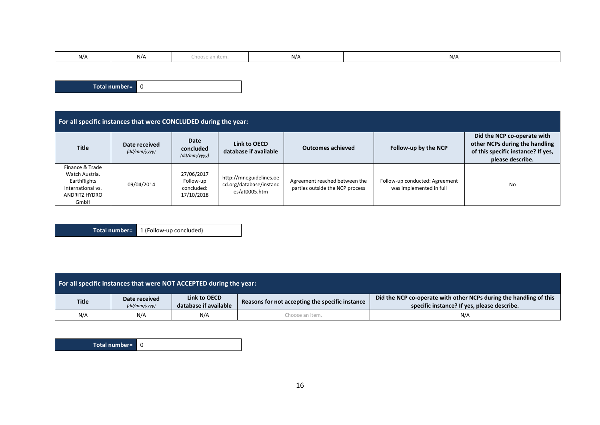| N/A | N/A | Choose an item. | N/A | N/A |
|-----|-----|-----------------|-----|-----|
|-----|-----|-----------------|-----|-----|

**Total number=** 0

| For all specific instances that were CONCLUDED during the year:                                       |                               |                                                     |                                                                     |                                                                  |                                                           |                                                                                                                         |  |
|-------------------------------------------------------------------------------------------------------|-------------------------------|-----------------------------------------------------|---------------------------------------------------------------------|------------------------------------------------------------------|-----------------------------------------------------------|-------------------------------------------------------------------------------------------------------------------------|--|
| <b>Title</b>                                                                                          | Date received<br>(dd/mm/yyyy) | Date<br>concluded<br>(dd/mm/yyyy)                   | Link to OECD<br>database if available                               | <b>Outcomes achieved</b>                                         | Follow-up by the NCP                                      | Did the NCP co-operate with<br>other NCPs during the handling<br>of this specific instance? If yes,<br>please describe. |  |
| Finance & Trade<br>Watch Austria,<br>EarthRights<br>International vs.<br><b>ANDRITZ HYDRO</b><br>GmbH | 09/04/2014                    | 27/06/2017<br>Follow-up<br>concluded:<br>17/10/2018 | http://mneguidelines.oe<br>cd.org/database/instanc<br>es/at0005.htm | Agreement reached between the<br>parties outside the NCP process | Follow-up conducted: Agreement<br>was implemented in full | No                                                                                                                      |  |

**Total number=** 1 (Follow-up concluded)

| For all specific instances that were NOT ACCEPTED during the year: |                               |                                       |                                                 |                                                                                                                   |  |  |
|--------------------------------------------------------------------|-------------------------------|---------------------------------------|-------------------------------------------------|-------------------------------------------------------------------------------------------------------------------|--|--|
| <b>Title</b>                                                       | Date received<br>(dd/mm/yyyy) | Link to OECD<br>database if available | Reasons for not accepting the specific instance | Did the NCP co-operate with other NCPs during the handling of this<br>specific instance? If yes, please describe. |  |  |
| N/A                                                                | N/A                           | N/A                                   | Choose an item.                                 | N/A                                                                                                               |  |  |

**Total number=** 0